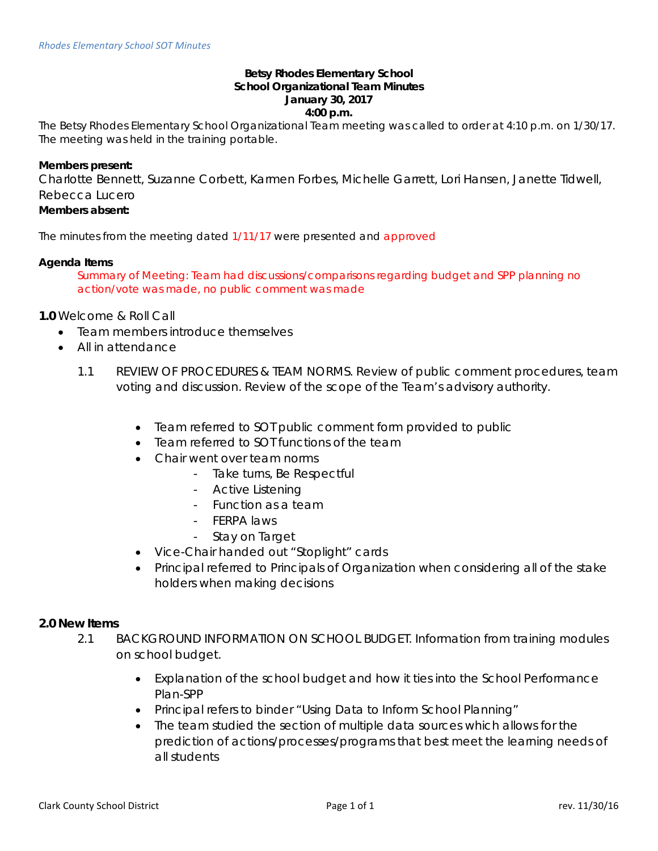#### **Betsy Rhodes Elementary School School Organizational Team Minutes January 30, 2017 4:00 p.m.**

The Betsy Rhodes Elementary School Organizational Team meeting was called to order at 4:10 p.m. on 1/30/17. The meeting was held in the training portable.

### **Members present:**

Charlotte Bennett, Suzanne Corbett, Karmen Forbes, Michelle Garrett, Lori Hansen, Janette Tidwell, Rebecca Lucero

# **Members absent:**

The minutes from the meeting dated 1/11/17 were presented and approved

### **Agenda Items**

Summary of Meeting: Team had discussions/comparisons regarding budget and SPP planning no action/vote was made, no public comment was made

## **1.0** Welcome & Roll Call

- Team members introduce themselves
- All in attendance
	- 1.1 REVIEW OF PROCEDURES & TEAM NORMS. Review of public comment procedures, team voting and discussion. Review of the scope of the Team's advisory authority.
		- Team referred to SOT public comment form provided to public
		- Team referred to SOT functions of the team
		- Chair went over team norms
			- Take turns, Be Respectful
			- Active Listening
			- Function as a team
			- FERPA laws
			- Stay on Target
		- Vice-Chair handed out "Stoplight" cards
		- Principal referred to Principals of Organization when considering all of the stake holders when making decisions

#### **2.0 New Items**

- 2.1 BACKGROUND INFORMATION ON SCHOOL BUDGET. Information from training modules on school budget.
	- Explanation of the school budget and how it ties into the School Performance Plan-SPP
	- Principal refers to binder "Using Data to Inform School Planning"
	- The team studied the section of multiple data sources which allows for the prediction of actions/processes/programs that best meet the learning needs of all students